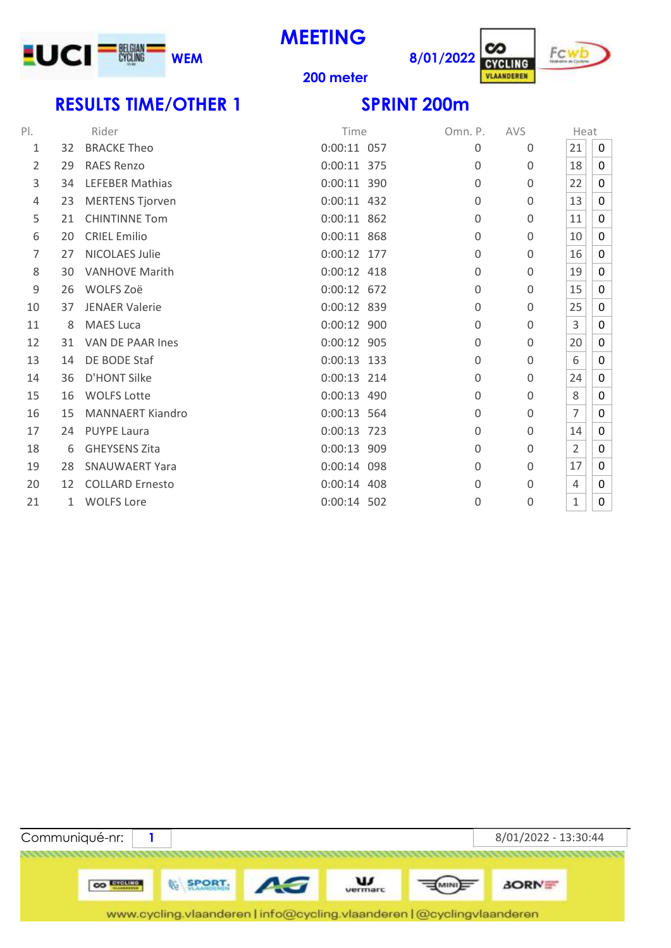

**MEETING**





### **meter**

# **RESULTS TIME/OTHER 1 SPRINT 200m**

| $P$ .          |              | Rider                   | Time          | Omn. P.     | <b>AVS</b>  | Heat           |              |
|----------------|--------------|-------------------------|---------------|-------------|-------------|----------------|--------------|
| 1              | 32           | <b>BRACKE Theo</b>      | $0:00:11$ 057 | $\Omega$    | $\Omega$    | 21             | 0            |
| 2              | 29           | <b>RAES Renzo</b>       | 0:00:11 375   | $\Omega$    | $\Omega$    | 18             | 0            |
| 3              | 34           | <b>LEFEBER Mathias</b>  | 0:00:11 390   | $\Omega$    | $\Omega$    | 22             | $\mathbf{0}$ |
| $\overline{4}$ | 23           | <b>MERTENS Tjorven</b>  | $0:00:11$ 432 | $\Omega$    | $\Omega$    | 13             | 0            |
| 5              | 21           | <b>CHINTINNE Tom</b>    | 0:00:11 862   | 0           | $\mathbf 0$ | 11             | $\mathbf 0$  |
| 6              | 20           | <b>CRIEL Emilio</b>     | 0:00:11 868   | 0           | $\Omega$    | 10             | 0            |
| 7              | 27           | <b>NICOLAES Julie</b>   | 0:00:12 177   | 0           | 0           | 16             | 0            |
| 8              | 30           | <b>VANHOVE Marith</b>   | $0:00:12$ 418 | $\Omega$    | 0           | 19             | 0            |
| $\mathsf 9$    | 26           | WOLFS Zoë               | 0:00:12 672   | 0           | $\Omega$    | 15             | 0            |
| 10             | 37           | <b>JENAER Valerie</b>   | 0:00:12 839   | $\Omega$    | $\Omega$    | 25             | $\mathbf 0$  |
| 11             | 8            | <b>MAES Luca</b>        | 0:00:12 900   | 0           | $\Omega$    | 3              | $\mathbf{0}$ |
| 12             | 31           | VAN DE PAAR Ines        | 0:00:12 905   | $\mathbf 0$ | $\mathbf 0$ | 20             | $\mathbf{0}$ |
| 13             | 14           | DE BODE Staf            | $0:00:13$ 133 | 0           | $\Omega$    | 6              | 0            |
| 14             | 36           | <b>D'HONT Silke</b>     | $0:00:13$ 214 | $\Omega$    | $\Omega$    | 24             | $\mathbf{0}$ |
| 15             | 16           | <b>WOLFS Lotte</b>      | $0:00:13$ 490 | 0           | 0           | 8              | 0            |
| 16             | 15           | <b>MANNAERT Kiandro</b> | $0:00:13$ 564 | 0           | $\mathbf 0$ | 7              | 0            |
| 17             | 24           | <b>PUYPE Laura</b>      | 0:00:13 723   | 0           | $\Omega$    | 14             | 0            |
| 18             | 6            | <b>GHEYSENS Zita</b>    | 0:00:13 909   | 0           | 0           | $\overline{2}$ | 0            |
| 19             | 28           | <b>SNAUWAERT Yara</b>   | 0:00:14 098   | 0           | 0           | 17             | $\mathbf{0}$ |
| 20             | 12           | <b>COLLARD Ernesto</b>  | 0:00:14 408   | 0           | $\Omega$    | 4              | 0            |
| 21             | $\mathbf{1}$ | <b>WOLFS Lore</b>       | $0:00:14$ 502 | 0           | 0           | 1              | 0            |
|                |              |                         |               |             |             |                |              |

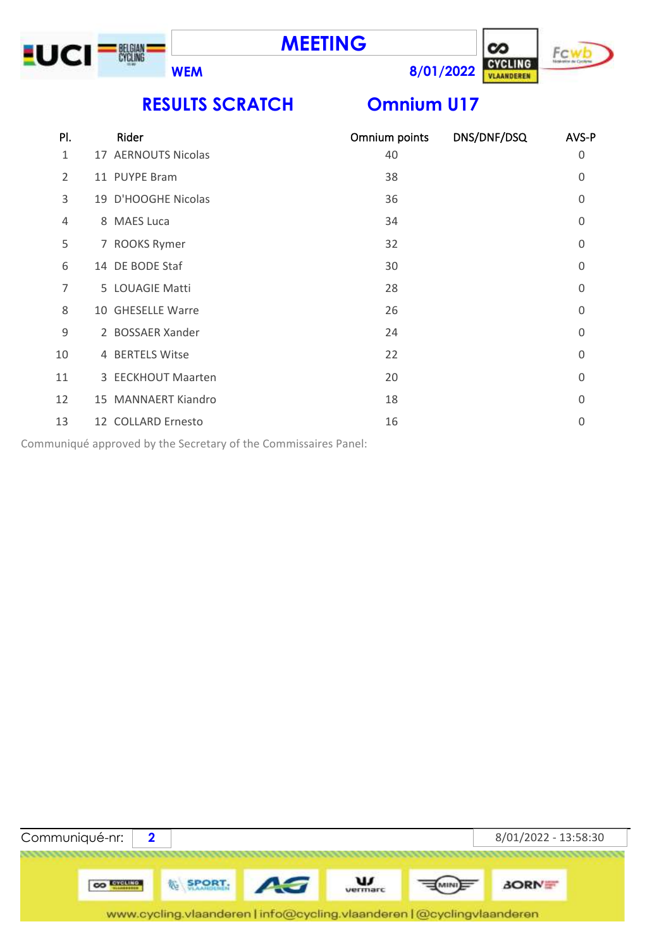





**RESULTS SCRATCH Omnium U17**

| PI. | Rider               | Omnium points | DNS/DNF/DSQ | AVS-P    |
|-----|---------------------|---------------|-------------|----------|
| 1   | 17 AERNOUTS Nicolas | 40            |             | 0        |
| 2   | 11 PUYPE Bram       | 38            |             | $\Omega$ |
| 3   | 19 D'HOOGHE Nicolas | 36            |             | 0        |
| 4   | 8 MAES Luca         | 34            |             | 0        |
| 5   | 7 ROOKS Rymer       | 32            |             | $\Omega$ |
| 6   | 14 DE BODE Staf     | 30            |             | $\Omega$ |
| 7   | 5 LOUAGIE Matti     | 28            |             | $\Omega$ |
| 8   | 10 GHESELLE Warre   | 26            |             | 0        |
| 9   | 2 BOSSAER Xander    | 24            |             | $\Omega$ |
| 10  | 4 BERTELS Witse     | 22            |             | $\Omega$ |
| 11  | 3 EECKHOUT Maarten  | 20            |             | 0        |
| 12  | 15 MANNAERT Kiandro | 18            |             | $\Omega$ |
| 13  | 12 COLLARD Ernesto  | 16            |             | $\Omega$ |

Communiqué approved by the Secretary of the Commissaires Panel:

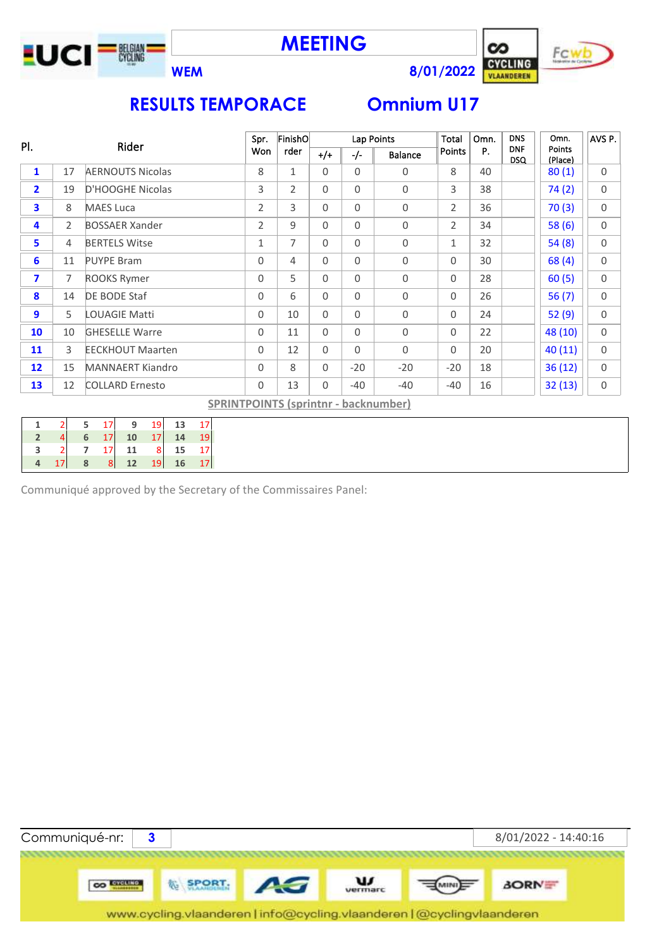





Fc۱



# **RESULTS TEMPORACE Omnium U17**

|                         |                |                         | Spr.           | FinishO        |             | Lap Points |                                             | <b>Total</b>   | Omn. | <b>DNS</b>               | Omn.              | AVS P.      |
|-------------------------|----------------|-------------------------|----------------|----------------|-------------|------------|---------------------------------------------|----------------|------|--------------------------|-------------------|-------------|
| PI.                     |                | Rider                   | Won            | rder           | $+/+$       | $-/-$      | <b>Balance</b>                              | Points         | P.   | <b>DNF</b><br><b>DSQ</b> | Points<br>(Place) |             |
| 1                       | 17             | <b>AERNOUTS Nicolas</b> | 8              | $\mathbf 1$    | $\Omega$    | $\Omega$   | 0                                           | 8              | 40   |                          | 80(1)             | $\mathbf 0$ |
| $\overline{\mathbf{2}}$ | 19             | D'HOOGHE Nicolas        | 3              | $\overline{2}$ | $\Omega$    | $\Omega$   | 0                                           | 3              | 38   |                          | 74(2)             | 0           |
| 3                       | 8              | <b>MAES Luca</b>        | $\overline{2}$ | 3              | $\Omega$    | $\Omega$   | 0                                           | $\overline{2}$ | 36   |                          | 70(3)             | $\Omega$    |
| 4                       | $\overline{2}$ | <b>BOSSAER Xander</b>   | $\overline{2}$ | 9              | $\Omega$    | $\Omega$   | $\mathbf 0$                                 | $\overline{2}$ | 34   |                          | 58(6)             | $\mathbf 0$ |
| 5                       | $\overline{4}$ | <b>BERTELS Witse</b>    | 1              | 7              | $\Omega$    | 0          | 0                                           | 1              | 32   |                          | 54(8)             | $\Omega$    |
| 6                       | 11             | <b>PUYPE Bram</b>       | 0              | 4              | 0           | 0          | 0                                           | 0              | 30   |                          | 68(4)             | 0           |
| $\overline{\mathbf{z}}$ | $\overline{7}$ | <b>ROOKS Rymer</b>      | 0              | 5              | $\Omega$    | $\Omega$   | 0                                           | $\Omega$       | 28   |                          | 60(5)             | $\Omega$    |
| 8                       | 14             | DE BODE Staf            | 0              | 6              | $\Omega$    | $\Omega$   | 0                                           | $\Omega$       | 26   |                          | 56(7)             | $\Omega$    |
| 9                       | 5              | <b>LOUAGIE Matti</b>    | 0              | 10             | $\mathbf 0$ | 0          | 0                                           | 0              | 24   |                          | 52(9)             | $\mathbf 0$ |
| 10                      | 10             | <b>GHESELLE Warre</b>   | 0              | 11             | $\Omega$    | $\Omega$   | $\mathbf 0$                                 | $\Omega$       | 22   |                          | 48 (10)           | $\Omega$    |
| 11                      | 3              | <b>EECKHOUT Maarten</b> | 0              | 12             | $\Omega$    | $\Omega$   | $\Omega$                                    | $\Omega$       | 20   |                          | 40(11)            | $\Omega$    |
| $12 \overline{ }$       | 15             | <b>MANNAERT Kiandro</b> | 0              | 8              | 0           | $-20$      | $-20$                                       | $-20$          | 18   |                          | 36(12)            | 0           |
| 13                      | 12             | <b>COLLARD Ernesto</b>  | 0              | 13             | $\Omega$    | $-40$      | $-40$                                       | $-40$          | 16   |                          | 32(13)            | 0           |
|                         |                |                         |                |                |             |            | <b>SPRINTPOINTS (sprintnr - backnumber)</b> |                |      |                          |                   |             |

|    |                 | 9    | 19                      | 13 |    |
|----|-----------------|------|-------------------------|----|----|
|    | 17              | 10   | 17                      | 14 | 19 |
|    | 17 <sup>1</sup> | 11   | $\overline{\mathbf{8}}$ | 15 |    |
| 17 | $\mathbf{8}$    | $12$ | 19                      | 16 |    |

Communiqué approved by the Secretary of the Commissaires Panel:

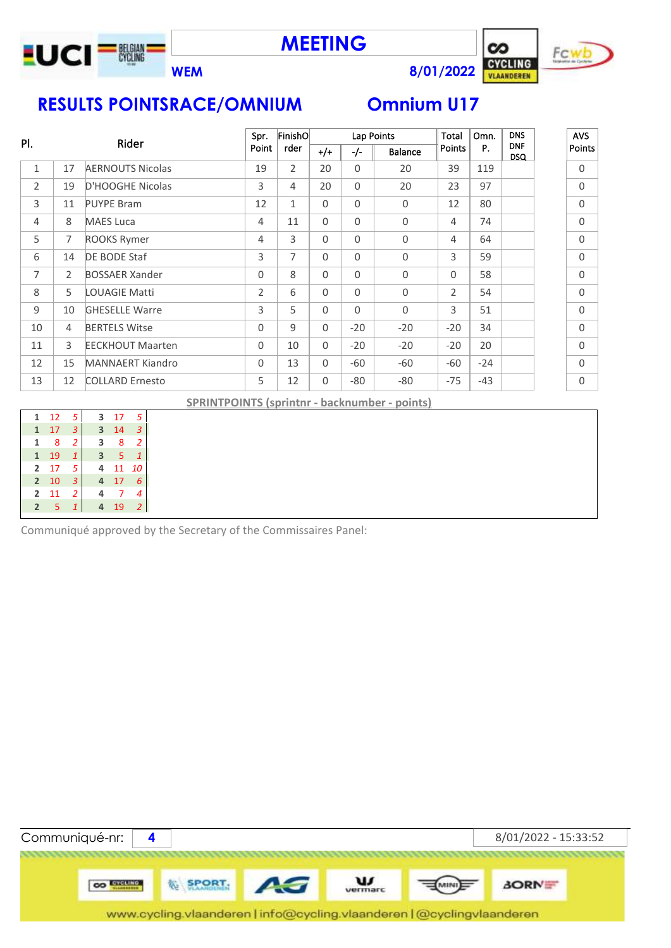

**MEETING**



**Fcw** 

# **RESULTS POINTSRACE/OMNIUM Omnium U17**

|                |    |                         | Spr.           | FinishO        |          |          | Lap Points     | Total          | Omn.  | <b>DNS</b>               | <b>AVS</b> |
|----------------|----|-------------------------|----------------|----------------|----------|----------|----------------|----------------|-------|--------------------------|------------|
| PI.            |    | Rider                   | Point          | rder           | $+/+$    | $-/-$    | <b>Balance</b> | Points         | P.    | <b>DNF</b><br><b>DSQ</b> | Points     |
| $\mathbf{1}$   | 17 | <b>AERNOUTS Nicolas</b> | 19             | $\overline{2}$ | 20       | $\Omega$ | 20             | 39             | 119   |                          | $\Omega$   |
| $\overline{2}$ | 19 | D'HOOGHE Nicolas        | 3              | $\overline{4}$ | 20       | $\Omega$ | 20             | 23             | 97    |                          | $\Omega$   |
| 3              | 11 | <b>PUYPE Bram</b>       | 12             | $\mathbf{1}$   | $\Omega$ | $\Omega$ | 0              | 12             | 80    |                          | $\Omega$   |
| 4              | 8  | <b>MAES Luca</b>        | 4              | 11             | $\Omega$ | $\Omega$ | 0              | 4              | 74    |                          | $\Omega$   |
| 5              | 7  | <b>ROOKS Rymer</b>      | 4              | 3              | $\Omega$ | $\Omega$ | 0              | 4              | 64    |                          | $\Omega$   |
| 6              | 14 | DE BODE Staf            | 3              | $\overline{7}$ | $\Omega$ | $\Omega$ | 0              | 3              | 59    |                          | $\Omega$   |
| $\overline{7}$ | 2  | <b>BOSSAER Xander</b>   | $\Omega$       | 8              | $\Omega$ | $\Omega$ | 0              | $\Omega$       | 58    |                          | $\Omega$   |
| 8              | 5  | <b>LOUAGIE Matti</b>    | $\overline{2}$ | 6              | $\Omega$ | $\Omega$ | 0              | $\overline{2}$ | 54    |                          | $\Omega$   |
| 9              | 10 | <b>GHESELLE Warre</b>   | 3              | 5              | $\Omega$ | $\Omega$ | 0              | 3              | 51    |                          | $\Omega$   |
| 10             | 4  | <b>BERTELS Witse</b>    | $\Omega$       | 9              | $\Omega$ | $-20$    | $-20$          | $-20$          | 34    |                          | $\Omega$   |
| 11             | 3  | <b>EECKHOUT Maarten</b> | $\Omega$       | 10             | $\Omega$ | $-20$    | $-20$          | $-20$          | 20    |                          | $\Omega$   |
| 12             | 15 | <b>MANNAERT Kiandro</b> | $\Omega$       | 13             | $\Omega$ | $-60$    | -60            | -60            | $-24$ |                          | $\Omega$   |
| 13             | 12 | <b>COLLARD Ernesto</b>  | 5              | 12             | $\Omega$ | $-80$    | $-80$          | $-75$          | $-43$ |                          | $\Omega$   |

**SPRINTPOINTS (sprintnr - backnumber - points)**

| 1              | 12 | 5            | 3 | 17 | 5              |  |
|----------------|----|--------------|---|----|----------------|--|
| $\mathbf{1}$   | 17 | 3            | 3 | 14 | З              |  |
| 1              | 8  | 2            | 3 | 8  | 2              |  |
| $\mathbf{1}$   | 19 | $\mathbf{1}$ | 3 | 5  |                |  |
| $\overline{2}$ | 17 | 5            | 4 | 11 | 10             |  |
| $\overline{2}$ | 10 | 3            | 4 | 17 | 6              |  |
| 2              | 11 | 2            | 4 |    | 4              |  |
| $\overline{2}$ | 5  | 1            | 4 | 19 | $\overline{2}$ |  |
|                |    |              |   |    |                |  |

Communiqué approved by the Secretary of the Commissaires Panel: